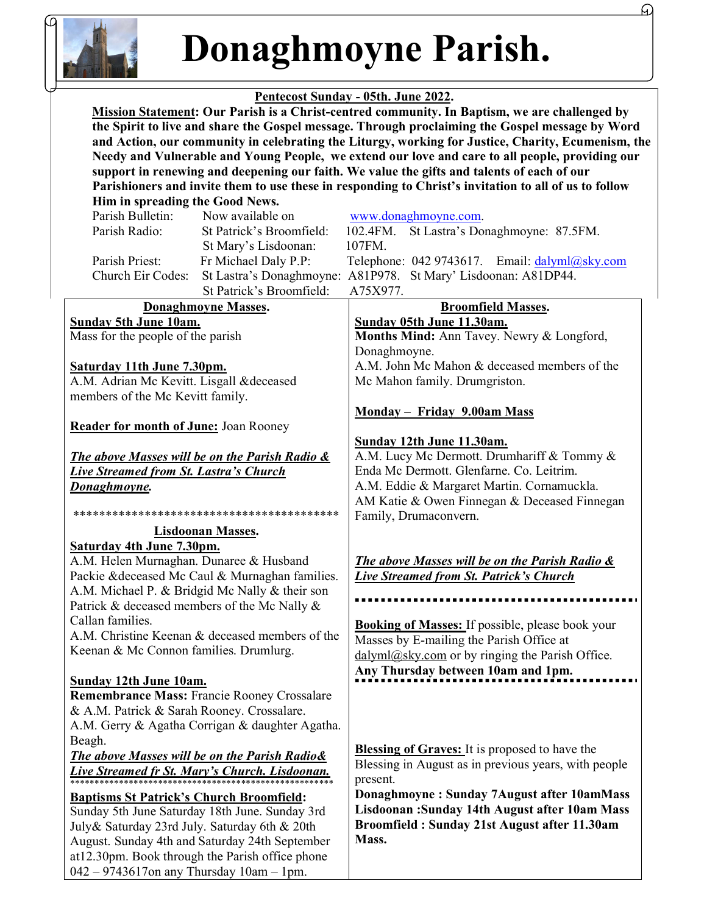

## Donaghmoyne Parish.

## Pentecost Sunday - 05th. June 2022.

 Mission Statement: Our Parish is a Christ-centred community. In Baptism, we are challenged by the Spirit to live and share the Gospel message. Through proclaiming the Gospel message by Word and Action, our community in celebrating the Liturgy, working for Justice, Charity, Ecumenism, the Needy and Vulnerable and Young People, we extend our love and care to all people, providing our support in renewing and deepening our faith. We value the gifts and talents of each of our Parishioners and invite them to use these in responding to Christ's invitation to all of us to follow

| Him in spreading the Good News.                           |                                             |                                                                               |
|-----------------------------------------------------------|---------------------------------------------|-------------------------------------------------------------------------------|
| Parish Bulletin:                                          | Now available on                            | www.donaghmoyne.com.                                                          |
| Parish Radio:                                             | St Patrick's Broomfield:                    | 102.4FM.<br>St Lastra's Donaghmoyne: 87.5FM.                                  |
|                                                           | St Mary's Lisdoonan:                        | 107FM.                                                                        |
| Parish Priest:                                            | Fr Michael Daly P.P:                        | Telephone: 042 9743617. Email: dalyml@sky.com                                 |
| Church Eir Codes:                                         | St Lastra's Donaghmoyne:                    | A81P978. St Mary' Lisdoonan: A81DP44.                                         |
|                                                           | St Patrick's Broomfield:                    | A75X977.                                                                      |
| <b>Donaghmoyne Masses.</b>                                |                                             | <b>Broomfield Masses.</b>                                                     |
| <b>Sunday 5th June 10am.</b>                              |                                             | Sunday 05th June 11.30am.                                                     |
| Mass for the people of the parish                         |                                             | Months Mind: Ann Tavey. Newry & Longford,                                     |
|                                                           |                                             | Donaghmoyne.                                                                  |
| <b>Saturday 11th June 7.30pm.</b>                         |                                             | A.M. John Mc Mahon & deceased members of the                                  |
| A.M. Adrian Mc Kevitt. Lisgall &deceased                  |                                             | Mc Mahon family. Drumgriston.                                                 |
| members of the Mc Kevitt family.                          |                                             |                                                                               |
|                                                           |                                             | Monday – Friday 9.00am Mass                                                   |
| <b>Reader for month of June: Joan Rooney</b>              |                                             |                                                                               |
|                                                           |                                             | Sunday 12th June 11.30am.                                                     |
| <b>The above Masses will be on the Parish Radio &amp;</b> |                                             | A.M. Lucy Mc Dermott. Drumhariff & Tommy &                                    |
| <b>Live Streamed from St. Lastra's Church</b>             |                                             | Enda Mc Dermott. Glenfarne. Co. Leitrim.                                      |
| Donaghmoyne.                                              |                                             | A.M. Eddie & Margaret Martin. Cornamuckla.                                    |
|                                                           |                                             | AM Katie & Owen Finnegan & Deceased Finnegan                                  |
|                                                           |                                             | Family, Drumaconvern.                                                         |
| <b>Lisdoonan Masses.</b>                                  |                                             |                                                                               |
| <b>Saturday 4th June 7.30pm.</b>                          |                                             |                                                                               |
| A.M. Helen Murnaghan. Dunaree & Husband                   |                                             | The above Masses will be on the Parish Radio &                                |
| Packie & deceased Mc Caul & Murnaghan families.           |                                             | Live Streamed from St. Patrick's Church                                       |
| A.M. Michael P. & Bridgid Mc Nally & their son            |                                             |                                                                               |
| Patrick & deceased members of the Mc Nally &              |                                             |                                                                               |
| Callan families.                                          |                                             |                                                                               |
| A.M. Christine Keenan & deceased members of the           |                                             | <b>Booking of Masses:</b> If possible, please book your                       |
| Keenan & Mc Connon families. Drumlurg.                    |                                             | Masses by E-mailing the Parish Office at                                      |
|                                                           |                                             | $\frac{dalyml(\partial gsky.com)}{deg(ykq)}$ or by ringing the Parish Office. |
| <b>Sunday 12th June 10am.</b>                             |                                             | Any Thursday between 10am and 1pm.                                            |
|                                                           | Remembrance Mass: Francie Rooney Crossalare |                                                                               |
| & A.M. Patrick & Sarah Rooney. Crossalare.                |                                             |                                                                               |
| A.M. Gerry & Agatha Corrigan & daughter Agatha.           |                                             |                                                                               |
| Beagh.                                                    |                                             |                                                                               |
| The above Masses will be on the Parish Radio&             |                                             | <b>Blessing of Graves:</b> It is proposed to have the                         |
| Live Streamed fr St. Mary's Church. Lisdoonan.            |                                             | Blessing in August as in previous years, with people                          |
|                                                           |                                             | present.                                                                      |
| <b>Baptisms St Patrick's Church Broomfield:</b>           |                                             | Donaghmoyne: Sunday 7August after 10amMass                                    |
| Sunday 5th June Saturday 18th June. Sunday 3rd            |                                             | Lisdoonan: Sunday 14th August after 10am Mass                                 |
| July& Saturday 23rd July. Saturday 6th & 20th             |                                             | Broomfield: Sunday 21st August after 11.30am                                  |
| August. Sunday 4th and Saturday 24th September            |                                             | Mass.                                                                         |
| at12.30pm. Book through the Parish office phone           |                                             |                                                                               |
| $042 - 9743617$ on any Thursday $10$ am - 1pm.            |                                             |                                                                               |

Æ